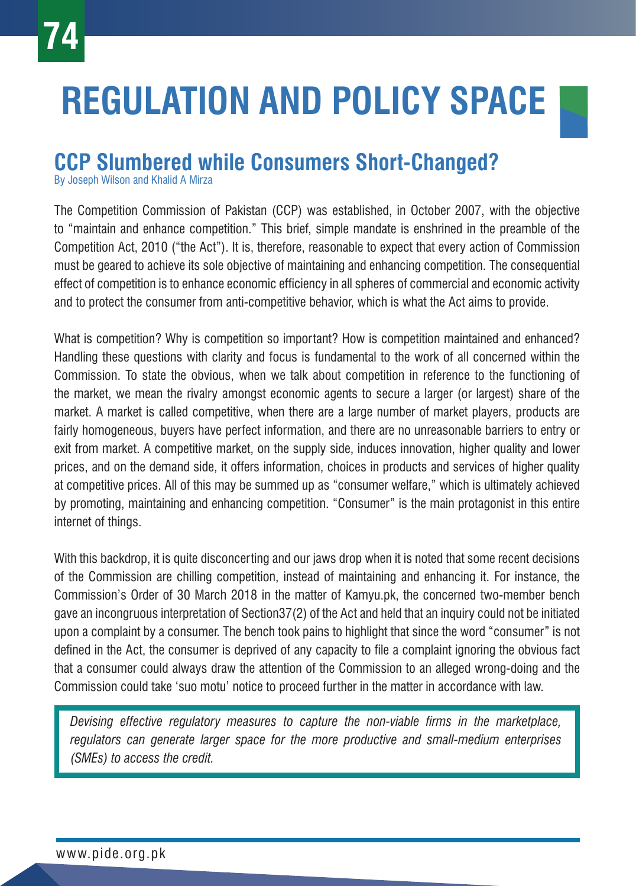## **REGULATION AND POLICY SPACE**

## **CCP Slumbered while Consumers Short-Changed?**

By Joseph Wilson and Khalid A Mirza

The Competition Commission of Pakistan (CCP) was established, in October 2007, with the objective to "maintain and enhance competition." This brief, simple mandate is enshrined in the preamble of the Competition Act, 2010 ("the Act"). It is, therefore, reasonable to expect that every action of Commission must be geared to achieve its sole objective of maintaining and enhancing competition. The consequential effect of competition is to enhance economic efficiency in all spheres of commercial and economic activity and to protect the consumer from anti-competitive behavior, which is what the Act aims to provide.

What is competition? Why is competition so important? How is competition maintained and enhanced? Handling these questions with clarity and focus is fundamental to the work of all concerned within the Commission. To state the obvious, when we talk about competition in reference to the functioning of the market, we mean the rivalry amongst economic agents to secure a larger (or largest) share of the market. A market is called competitive, when there are a large number of market players, products are fairly homogeneous, buyers have perfect information, and there are no unreasonable barriers to entry or exit from market. A competitive market, on the supply side, induces innovation, higher quality and lower prices, and on the demand side, it offers information, choices in products and services of higher quality at competitive prices. All of this may be summed up as "consumer welfare," which is ultimately achieved by promoting, maintaining and enhancing competition. "Consumer" is the main protagonist in this entire internet of things.

With this backdrop, it is quite disconcerting and our jaws drop when it is noted that some recent decisions of the Commission are chilling competition, instead of maintaining and enhancing it. For instance, the Commission's Order of 30 March 2018 in the matter of Kamyu.pk, the concerned two-member bench gave an incongruous interpretation of Section37(2) of the Act and held that an inquiry could not be initiated upon a complaint by a consumer. The bench took pains to highlight that since the word "consumer" is not defined in the Act, the consumer is deprived of any capacity to file a complaint ignoring the obvious fact that a consumer could always draw the attention of the Commission to an alleged wrong-doing and the Commission could take 'suo motu' notice to proceed further in the matter in accordance with law.

*Devising effective regulatory measures to capture the non-viable firms in the marketplace, regulators can generate larger space for the more productive and small-medium enterprises (SMEs) to access the credit.*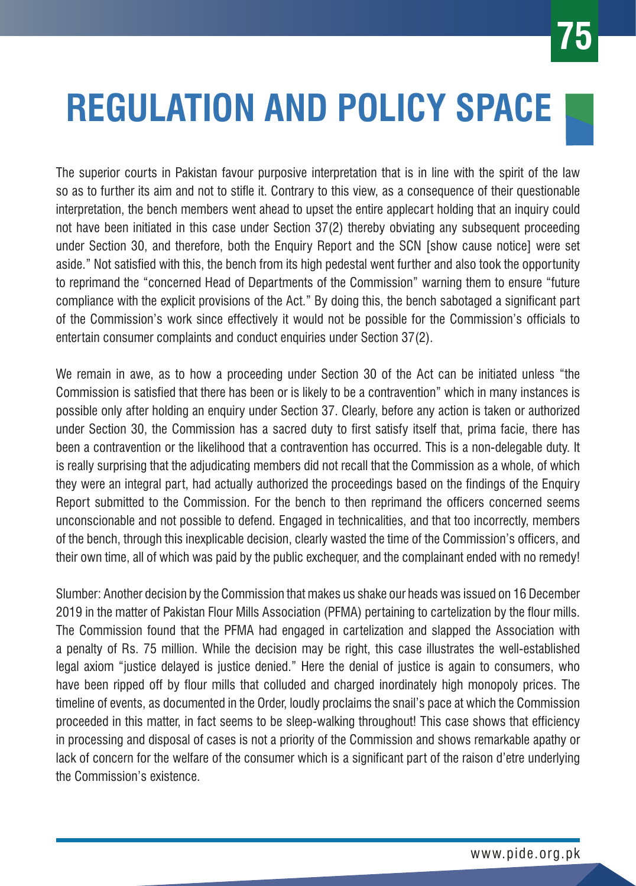## **REGULATION AND POLICY SPACE**

The superior courts in Pakistan favour purposive interpretation that is in line with the spirit of the law so as to further its aim and not to stifle it. Contrary to this view, as a consequence of their questionable interpretation, the bench members went ahead to upset the entire applecart holding that an inquiry could not have been initiated in this case under Section 37(2) thereby obviating any subsequent proceeding under Section 30, and therefore, both the Enquiry Report and the SCN [show cause notice] were set aside." Not satisfied with this, the bench from its high pedestal went further and also took the opportunity to reprimand the "concerned Head of Departments of the Commission" warning them to ensure "future compliance with the explicit provisions of the Act." By doing this, the bench sabotaged a significant part of the Commission's work since effectively it would not be possible for the Commission's officials to entertain consumer complaints and conduct enquiries under Section 37(2).

We remain in awe, as to how a proceeding under Section 30 of the Act can be initiated unless "the Commission is satisfied that there has been or is likely to be a contravention" which in many instances is possible only after holding an enquiry under Section 37. Clearly, before any action is taken or authorized under Section 30, the Commission has a sacred duty to first satisfy itself that, prima facie, there has been a contravention or the likelihood that a contravention has occurred. This is a non-delegable duty. It is really surprising that the adjudicating members did not recall that the Commission as a whole, of which they were an integral part, had actually authorized the proceedings based on the findings of the Enquiry Report submitted to the Commission. For the bench to then reprimand the officers concerned seems unconscionable and not possible to defend. Engaged in technicalities, and that too incorrectly, members of the bench, through this inexplicable decision, clearly wasted the time of the Commission's officers, and their own time, all of which was paid by the public exchequer, and the complainant ended with no remedy!

Slumber: Another decision by the Commission that makes us shake our heads was issued on 16 December 2019 in the matter of Pakistan Flour Mills Association (PFMA) pertaining to cartelization by the flour mills. The Commission found that the PFMA had engaged in cartelization and slapped the Association with a penalty of Rs. 75 million. While the decision may be right, this case illustrates the well-established legal axiom "justice delayed is justice denied." Here the denial of justice is again to consumers, who have been ripped off by flour mills that colluded and charged inordinately high monopoly prices. The timeline of events, as documented in the Order, loudly proclaims the snail's pace at which the Commission proceeded in this matter, in fact seems to be sleep-walking throughout! This case shows that efficiency in processing and disposal of cases is not a priority of the Commission and shows remarkable apathy or lack of concern for the welfare of the consumer which is a significant part of the raison d'etre underlying the Commission's existence.